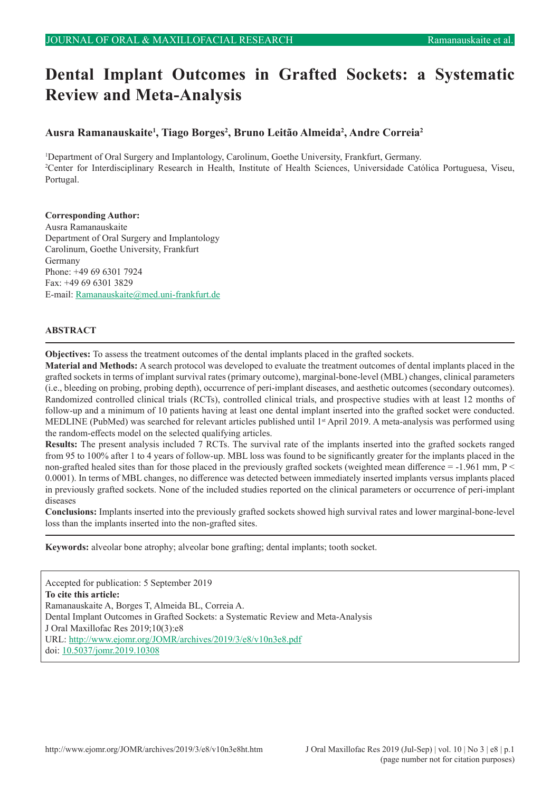# **Dental Implant Outcomes in Grafted Sockets: a Systematic Review and Meta-Analysis**

# **Ausra Ramanauskaite1 , Tiago Borges2 , Bruno Leitão Almeida2 , Andre Correia2**

1 Department of Oral Surgery and Implantology, Carolinum, Goethe University, Frankfurt, Germany. 2 Center for Interdisciplinary Research in Health, Institute of Health Sciences, Universidade Católica Portuguesa, Viseu, Portugal.

**Corresponding Author:** Ausra Ramanauskaite Department of Oral Surgery and Implantology Carolinum, Goethe University, Frankfurt Germany Phone: +49 69 6301 7924 Fax: +49 69 6301 3829 E-mail: [Ramanauskaite@med.uni-frankfurt.de](mailto:Ramanauskaite%40med.uni-frankfurt.de?subject=)

#### **ABSTRACT**

**Objectives:** To assess the treatment outcomes of the dental implants placed in the grafted sockets.

**Material and Methods:** A search protocol was developed to evaluate the treatment outcomes of dental implants placed in the grafted sockets in terms of implant survival rates (primary outcome), marginal-bone-level (MBL) changes, clinical parameters (i.e., bleeding on probing, probing depth), occurrence of peri-implant diseases, and aesthetic outcomes (secondary outcomes). Randomized controlled clinical trials (RCTs), controlled clinical trials, and prospective studies with at least 12 months of follow-up and a minimum of 10 patients having at least one dental implant inserted into the grafted socket were conducted. MEDLINE (PubMed) was searched for relevant articles published until  $1<sup>st</sup>$  April 2019. A meta-analysis was performed using the random-effects model on the selected qualifying articles.

**Results:** The present analysis included 7 RCTs. The survival rate of the implants inserted into the grafted sockets ranged from 95 to 100% after 1 to 4 years of follow-up. MBL loss was found to be significantly greater for the implants placed in the non-grafted healed sites than for those placed in the previously grafted sockets (weighted mean difference  $= -1.961$  mm,  $P \le$ 0.0001). In terms of MBL changes, no difference was detected between immediately inserted implants versus implants placed in previously grafted sockets. None of the included studies reported on the clinical parameters or occurrence of peri-implant diseases

**Conclusions:** Implants inserted into the previously grafted sockets showed high survival rates and lower marginal-bone-level loss than the implants inserted into the non-grafted sites.

**Keywords:** alveolar bone atrophy; alveolar bone grafting; dental implants; tooth socket.

Accepted for publication: 5 September 2019 **To cite this article:** Ramanauskaite A, Borges T, Almeida BL, Correia A. Dental Implant Outcomes in Grafted Sockets: a Systematic Review and Meta-Analysis J Oral Maxillofac Res 2019;10(3):e8 URL:<http://www.ejomr.org/JOMR/archives/2019/3/e8/v10n3e8.pdf> doi: [10.5037/jomr.2019.10308](http://dx.doi.org/10.5037/jomr.2019.10308)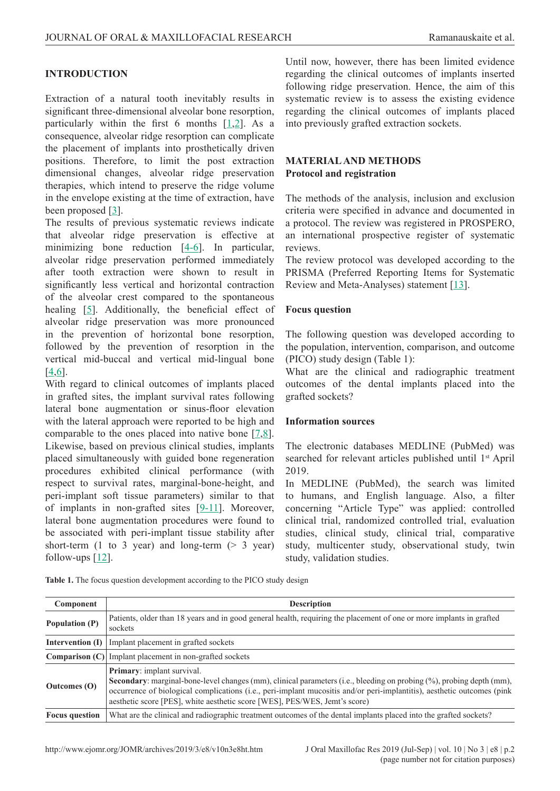### **INTRODUCTION**

Extraction of a natural tooth inevitably results in significant three-dimensional alveolar bone resorption, particularly within the first 6 months [\[1,2](#page-9-0)]. As a consequence, alveolar ridge resorption can complicate the placement of implants into prosthetically driven positions. Therefore, to limit the post extraction dimensional changes, alveolar ridge preservation therapies, which intend to preserve the ridge volume in the envelope existing at the time of extraction, have been proposed [\[3\]](#page-9-0).

The results of previous systematic reviews indicate that alveolar ridge preservation is effective at minimizing bone reduction [\[4-6](#page-9-0)]. In particular, alveolar ridge preservation performed immediately after tooth extraction were shown to result in significantly less vertical and horizontal contraction of the alveolar crest compared to the spontaneous healing [\[5\]](#page-10-0). Additionally, the beneficial effect of alveolar ridge preservation was more pronounced in the prevention of horizontal bone resorption, followed by the prevention of resorption in the vertical mid-buccal and vertical mid-lingual bone [[4](#page-9-0)[,6\]](#page-10-0).

With regard to clinical outcomes of implants placed in grafted sites, the implant survival rates following lateral bone augmentation or sinus-floor elevation with the lateral approach were reported to be high and comparable to the ones placed into native bone  $[7,8]$  $[7,8]$ . Likewise, based on previous clinical studies, implants placed simultaneously with guided bone regeneration procedures exhibited clinical performance (with respect to survival rates, marginal-bone-height, and peri-implant soft tissue parameters) similar to that of implants in non-grafted sites [\[9-11](#page-10-0)]. Moreover, lateral bone augmentation procedures were found to be associated with peri-implant tissue stability after short-term (1 to 3 year) and long-term ( $> 3$  year) follow-ups [[12\]](#page-10-0).

Until now, however, there has been limited evidence regarding the clinical outcomes of implants inserted following ridge preservation. Hence, the aim of this systematic review is to assess the existing evidence regarding the clinical outcomes of implants placed into previously grafted extraction sockets.

# **MATERIAL AND METHODS Protocol and registration**

The methods of the analysis, inclusion and exclusion criteria were specified in advance and documented in a protocol. The review was registered in PROSPERO, an international prospective register of systematic reviews.

The review protocol was developed according to the PRISMA (Preferred Reporting Items for Systematic Review and Meta-Analyses) statement [\[13](#page-10-0)].

#### **Focus question**

The following question was developed according to the population, intervention, comparison, and outcome (PICO) study design (Table 1):

What are the clinical and radiographic treatment outcomes of the dental implants placed into the grafted sockets?

#### **Information sources**

The electronic databases MEDLINE (PubMed) was searched for relevant articles published until 1<sup>st</sup> April 2019.

In MEDLINE (PubMed), the search was limited to humans, and English language. Also, a filter concerning "Article Type" was applied: controlled clinical trial, randomized controlled trial, evaluation studies, clinical study, clinical trial, comparative study, multicenter study, observational study, twin study, validation studies.

| Component             | <b>Description</b>                                                                                                                                                                                                                                                                                                                                                 |
|-----------------------|--------------------------------------------------------------------------------------------------------------------------------------------------------------------------------------------------------------------------------------------------------------------------------------------------------------------------------------------------------------------|
| <b>Population (P)</b> | Patients, older than 18 years and in good general health, requiring the placement of one or more implants in grafted<br>sockets                                                                                                                                                                                                                                    |
| Intervention (I)      | Implant placement in grafted sockets                                                                                                                                                                                                                                                                                                                               |
|                       | <b>Comparison</b> $(C)$ Implant placement in non-grafted sockets                                                                                                                                                                                                                                                                                                   |
| Outcomes $(0)$        | <b>Primary:</b> implant survival.<br>Secondary: marginal-bone-level changes (mm), clinical parameters (i.e., bleeding on probing (%), probing depth (mm),<br>occurrence of biological complications (i.e., peri-implant mucositis and/or peri-implantitis), aesthetic outcomes (pink<br>aesthetic score [PES], white aesthetic score [WES], PES/WES, Jemt's score] |
| <b>Focus</b> question | What are the clinical and radiographic treatment outcomes of the dental implants placed into the grafted sockets?                                                                                                                                                                                                                                                  |

**Table 1.** The focus question development according to the PICO study design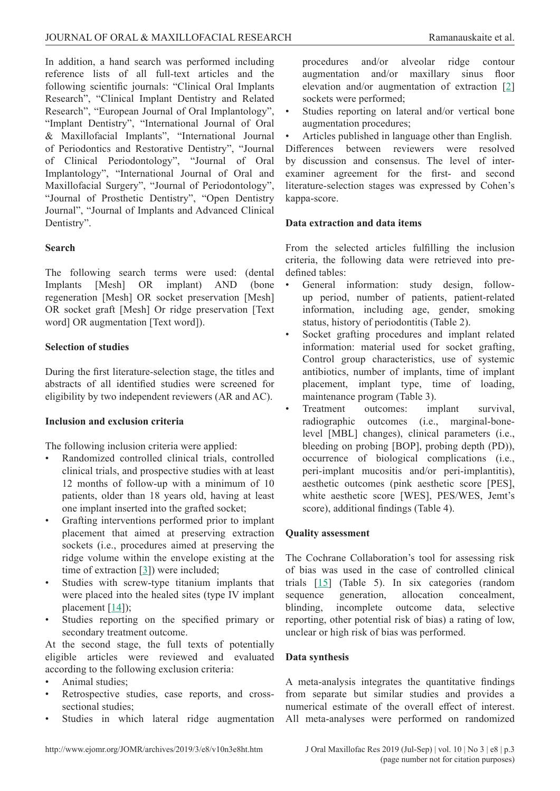In addition, a hand search was performed including reference lists of all full-text articles and the following scientific journals: "Clinical Oral Implants Research", "Clinical Implant Dentistry and Related Research", "European Journal of Oral Implantology", "Implant Dentistry", "International Journal of Oral & Maxillofacial Implants", "International Journal of Periodontics and Restorative Dentistry", "Journal of Clinical Periodontology", "Journal of Oral Implantology", "International Journal of Oral and Maxillofacial Surgery", "Journal of Periodontology", "Journal of Prosthetic Dentistry", "Open Dentistry Journal", "Journal of Implants and Advanced Clinical Dentistry".

# **Search**

The following search terms were used: (dental Implants [Mesh] OR implant) AND (bone regeneration [Mesh] OR socket preservation [Mesh] OR socket graft [Mesh] Or ridge preservation [Text word] OR augmentation [Text word]).

# **Selection of studies**

During the first literature-selection stage, the titles and abstracts of all identified studies were screened for eligibility by two independent reviewers (AR and AC).

# **Inclusion and exclusion criteria**

The following inclusion criteria were applied:

- Randomized controlled clinical trials, controlled clinical trials, and prospective studies with at least 12 months of follow-up with a minimum of 10 patients, older than 18 years old, having at least one implant inserted into the grafted socket;
- Grafting interventions performed prior to implant placement that aimed at preserving extraction sockets (i.e., procedures aimed at preserving the ridge volume within the envelope existing at the time of extraction [[3](#page-9-0)]) were included;
- Studies with screw-type titanium implants that were placed into the healed sites (type IV implant placement [\[14](#page-10-0)]);
- Studies reporting on the specified primary or secondary treatment outcome.

At the second stage, the full texts of potentially eligible articles were reviewed and evaluated according to the following exclusion criteria:

- Animal studies;
- Retrospective studies, case reports, and crosssectional studies:
- Studies in which lateral ridge augmentation

procedures and/or alveolar ridge contour augmentation and/or maxillary sinus floor elevation and/or augmentation of extraction [\[2\]](#page-9-0) sockets were performed;

• Studies reporting on lateral and/or vertical bone augmentation procedures;

• Articles published in language other than English. Differences between reviewers were resolved by discussion and consensus. The level of interexaminer agreement for the first- and second literature-selection stages was expressed by Cohen's kappa-score.

#### **Data extraction and data items**

From the selected articles fulfilling the inclusion criteria, the following data were retrieved into predefined tables:

- General information: study design, followup period, number of patients, patient-related information, including age, gender, smoking status, history of periodontitis (Table 2).
- Socket grafting procedures and implant related information: material used for socket grafting, Control group characteristics, use of systemic antibiotics, number of implants, time of implant placement, implant type, time of loading, maintenance program (Table 3).
- Treatment outcomes: implant survival, radiographic outcomes (i.e., marginal-bonelevel [MBL] changes), clinical parameters (i.e., bleeding on probing [BOP], probing depth (PD)), occurrence of biological complications (i.e., peri-implant mucositis and/or peri-implantitis), aesthetic outcomes (pink aesthetic score [PES], white aesthetic score [WES], PES/WES, Jemt's score), additional findings (Table 4).

# **Quality assessment**

The Cochrane Collaboration's tool for assessing risk of bias was used in the case of controlled clinical trials [[15\]](#page-10-0) (Table 5). In six categories (random sequence generation, allocation concealment, blinding, incomplete outcome data, selective reporting, other potential risk of bias) a rating of low, unclear or high risk of bias was performed.

# **Data synthesis**

A meta-analysis integrates the quantitative findings from separate but similar studies and provides a numerical estimate of the overall effect of interest. All meta-analyses were performed on randomized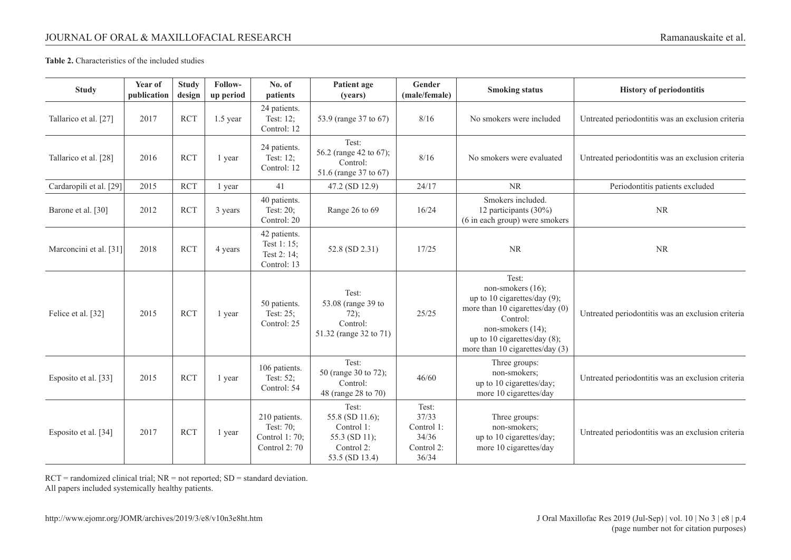#### **Table 2.** Characteristics of the included studies

| <b>Study</b>            | Year of<br>publication | <b>Study</b><br>design | Follow-<br>up period | No. of<br>patients                                           | Patient age<br>(years)                                                                  | Gender<br>(male/female)                                      | <b>Smoking status</b>                                                                                                                                                                                   | <b>History of periodontitis</b>                   |  |
|-------------------------|------------------------|------------------------|----------------------|--------------------------------------------------------------|-----------------------------------------------------------------------------------------|--------------------------------------------------------------|---------------------------------------------------------------------------------------------------------------------------------------------------------------------------------------------------------|---------------------------------------------------|--|
| Tallarico et al. [27]   | 2017                   | <b>RCT</b>             | 1.5 year             | 24 patients.<br>Test: 12;<br>Control: 12                     | 53.9 (range 37 to 67)                                                                   | 8/16                                                         | No smokers were included                                                                                                                                                                                | Untreated periodontitis was an exclusion criteria |  |
| Tallarico et al. [28]   | 2016                   | <b>RCT</b>             | 1 year               | 24 patients.<br>Test: 12;<br>Control: 12                     | Test:<br>56.2 (range 42 to 67);<br>Control:<br>51.6 (range 37 to 67)                    | 8/16                                                         | No smokers were evaluated                                                                                                                                                                               | Untreated periodontitis was an exclusion criteria |  |
| Cardaropili et al. [29] | 2015                   | <b>RCT</b>             | 1 year               | 41                                                           | 47.2 (SD 12.9)                                                                          | 24/17                                                        | <b>NR</b>                                                                                                                                                                                               | Periodontitis patients excluded                   |  |
| Barone et al. [30]      | 2012                   | <b>RCT</b>             | 3 years              | 40 patients.<br>Test: 20;<br>Control: 20                     | Range 26 to 69                                                                          | 16/24                                                        | Smokers included.<br>12 participants (30%)<br>(6 in each group) were smokers                                                                                                                            | <b>NR</b>                                         |  |
| Marconcini et al. [31]  | 2018                   | <b>RCT</b>             | 4 years              | 42 patients.<br>Test 1: 15;<br>Test 2: 14;<br>Control: 13    | 52.8 (SD 2.31)                                                                          | 17/25                                                        | <b>NR</b>                                                                                                                                                                                               | <b>NR</b>                                         |  |
| Felice et al. [32]      | 2015                   | <b>RCT</b>             | 1 year               | 50 patients.<br>Test: 25;<br>Control: 25                     | Test:<br>53.08 (range 39 to<br>72);<br>Control:<br>51.32 (range 32 to 71)               | 25/25                                                        | Test:<br>non-smokers (16);<br>up to 10 cigarettes/day $(9)$ ;<br>more than 10 cigarettes/day (0)<br>Control:<br>non-smokers (14);<br>up to 10 cigarettes/day $(8)$ ;<br>more than 10 cigarettes/day (3) | Untreated periodontitis was an exclusion criteria |  |
| Esposito et al. [33]    | 2015                   | <b>RCT</b>             | 1 year               | 106 patients.<br>Test: 52;<br>Control: 54                    | Test:<br>50 (range 30 to 72);<br>Control:<br>48 (range 28 to 70)                        | 46/60                                                        | Three groups:<br>non-smokers;<br>up to 10 cigarettes/day;<br>more 10 cigarettes/day                                                                                                                     | Untreated periodontitis was an exclusion criteria |  |
| Esposito et al. [34]    | 2017                   | <b>RCT</b>             | 1 year               | 210 patients.<br>Test: 70;<br>Control 1: 70;<br>Control 2:70 | Test:<br>55.8 (SD 11.6);<br>Control 1:<br>55.3 (SD 11);<br>Control 2:<br>53.5 (SD 13.4) | Test:<br>37/33<br>Control 1:<br>34/36<br>Control 2:<br>36/34 | Three groups:<br>non-smokers;<br>up to 10 cigarettes/day;<br>more 10 cigarettes/day                                                                                                                     | Untreated periodontitis was an exclusion criteria |  |

 $RCT =$  randomized clinical trial;  $NR =$  not reported;  $SD =$  standard deviation. All papers included systemically healthy patients.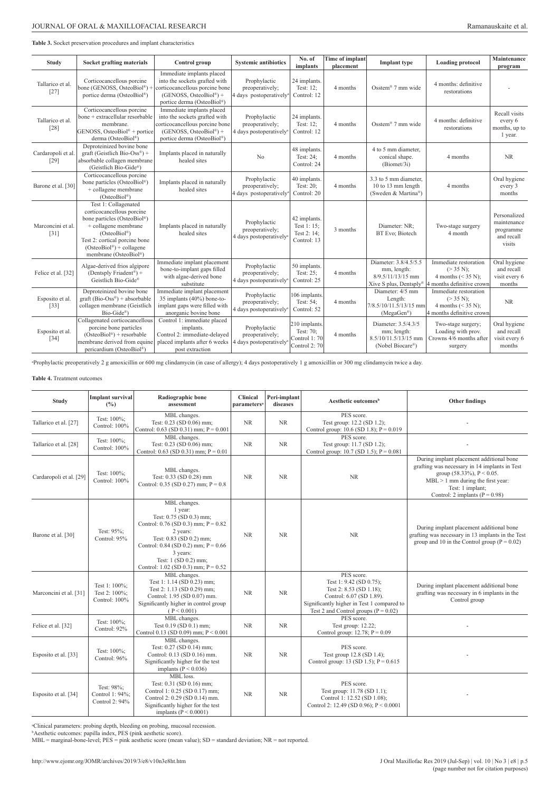<http://www.ejomr.org/JOMR/archives/2019/3/e8/v10n3e8ht.htm> J Oral Maxillofac Res 2019 (Jul-Sep) | vol. 10 | No 3 | e8 | p.5 (page number not for citation purposes)

**Table 3.** Socket preservation procedures and implant characteristics

| <b>Study</b>                 | Socket grafting materials                                                                                                                                                                                                     | Control group                                                                                                                                           | <b>Systemic antibiotics</b>                                            | No. of<br>implants                                          | Time of implant<br>placement | <b>Implant</b> type                                                                 | <b>Loading protocol</b>                                                                 | Maintenance<br>program                                           |
|------------------------------|-------------------------------------------------------------------------------------------------------------------------------------------------------------------------------------------------------------------------------|---------------------------------------------------------------------------------------------------------------------------------------------------------|------------------------------------------------------------------------|-------------------------------------------------------------|------------------------------|-------------------------------------------------------------------------------------|-----------------------------------------------------------------------------------------|------------------------------------------------------------------|
| Tallarico et al.<br>$[27]$   | Corticocancellous porcine<br>bone (GENOSS, OsteoBiol®) +<br>portice derma (OsteoBiol®)                                                                                                                                        | Immediate implants placed<br>into the sockets grafted with<br>corticocancellous porcine bone<br>$(GENOSS, OsteoBiol^*)$ +<br>portice derma (OsteoBiol®) | Prophylactic<br>preoperatively;<br>4 days postoperatively <sup>a</sup> | 24 implants.<br>Test: 12;<br>Control: 12                    | 4 months                     | Osstem® 7 mm wide                                                                   | 4 months: definitive<br>restorations                                                    |                                                                  |
| Tallarico et al.<br>$[28]$   | Corticocancellous porcine<br>bone + extracellular resorbable<br>membrane.<br>GENOSS, OsteoBiol <sup>®</sup> + portice<br>derma (OsteoBiol®)                                                                                   | Immediate implants placed<br>into the sockets grafted with<br>corticocancellous porcine bone<br>(GENOSS, OsteoBiol®) +<br>portice derma (OsteoBiol®)    | Prophylactic<br>preoperatively;<br>4 days postoperatively <sup>a</sup> | 24 implants.<br>Test: 12;<br>Control: 12                    | 4 months                     | Osstem® 7 mm wide                                                                   | 4 months: definitive<br>restorations                                                    | Recall visits<br>every 6<br>months, up to<br>1 year.             |
| Cardaropoli et al.<br>$[29]$ | Deproteinized bovine bone<br>graft (Geistlich Bio-Oss®) +<br>absorbable collagen membrane<br>(Geistlich Bio-Gide®)                                                                                                            | Implants placed in naturally<br>healed sites                                                                                                            | N <sub>o</sub>                                                         | 48 implants.<br>Test: 24;<br>Control: 24                    | 4 months                     | 4 to 5 mm diameter.<br>conical shape.<br>(Biomet/3i)                                | 4 months                                                                                | <b>NR</b>                                                        |
| Barone et al. [30]           | Corticocancellous porcine<br>bone particles (OsteoBiol®)<br>+ collagene membrane<br>(OsteoBiol <sup>®</sup> )                                                                                                                 | Implants placed in naturally<br>healed sites                                                                                                            | Prophylactic<br>preoperatively;<br>4 days postoperatively <sup>a</sup> | 40 implants.<br>Test: 20;<br>Control: 20                    | 4 months                     | 3.3 to 5 mm diameter,<br>10 to 13 mm length<br>(Sweden & Martina®)                  | 4 months                                                                                | Oral hygiene<br>every 3<br>months                                |
| Marconcini et al.<br>$[31]$  | Test 1: Collagenated<br>corticocancellous porcine<br>bone particles (OsteoBiol®)<br>+ collagene membrane<br>(OsteoBiol <sup>®</sup> )<br>Test 2: cortical porcine bone<br>$(OsteoBiol^*) + collagen$<br>membrane (OsteoBiol®) | Implants placed in naturally<br>healed sites                                                                                                            | Prophylactic<br>preoperatively;<br>4 days postoperatively <sup>a</sup> | 42 implants.<br>Test 1: 15;<br>Test 2: 14;<br>Control: 13   | 3 months                     | Diameter: NR;<br>BT Evo; Biotech                                                    | Two-stage surgery<br>4 month                                                            | Personalized<br>maintenance<br>programme<br>and recall<br>visits |
| Felice et al. [32]           | Algae-derived frios algipore<br>(Dentsply Friadent®) +<br>Geistlich Bio-Gide®                                                                                                                                                 | Immediate implant placement<br>bone-to-implant gaps filled<br>with algae-derived bone<br>substitute                                                     | Prophylactic<br>preoperatively;<br>4 days postoperatively <sup>a</sup> | 50 implants.<br>Test: 25;<br>Control: 25                    | 4 months                     | Diameter: 3.8/4.5/5.5<br>mm, length:<br>8/9.5/11/13/15 mm<br>Xive S plus, Dentsply® | Immediate restoration<br>(> 35 N);<br>4 months $(< 35$ N);<br>4 months definitive crown | Oral hygiene<br>and recall<br>visit every 6<br>months            |
| Esposito et al.<br>$[33]$    | Deproteinized bovine bone<br>$graff (Bio-Oss®) + absorbable$<br>collagen membrane (Geistlich<br>Bio-Gide®)                                                                                                                    | Immediate implant placement<br>35 implants (40%) bone-to-<br>implant gaps were filled with<br>anorganic bovine bone                                     | Prophylactic<br>preoperatively;<br>4 days postoperatively <sup>a</sup> | 106 implants.<br>Test: 54;<br>Control: 52                   | 4 months                     | Diameter: 4/5 mm<br>Length:<br>7/8.5/10/11.5/13/15 mm<br>(MegaGen®)                 | Immediate restoration<br>(> 35 N);<br>4 months $(< 35$ N);<br>4 months definitive crown | $\rm NR$                                                         |
| Esposito et al.<br>$[34]$    | Collagenated corticocancellous<br>porcine bone particles<br>$(OsteoBiol®) + resorbable$<br>membrane derived from equine<br>pericardium (OsteoBiol®)                                                                           | Control 1: immediate placed<br>implants.<br>Control 2: immediate-delayed<br>placed implants after 6 weeks<br>post extraction                            | Prophylactic<br>preoperatively;<br>4 days postoperatively <sup>®</sup> | 210 implants.<br>Test: 70:<br>Control 1:70<br>Control 2: 70 | 4 months                     | Diameter: 3.5/4.3/5<br>mm; length:<br>8.5/10/11.5/13/15 mm<br>(Nobel Biocare®)      | Two-stage surgery;<br>Loading with prov.<br>Crowns 4/6 months after<br>surgery          | Oral hygiene<br>and recall<br>visit every 6<br>months            |

a Prophylactic preoperatively 2 g amoxicillin or 600 mg clindamycin (in case of allergy); 4 days postoperatively 1 g amoxicillin or 300 mg clindamycin twice a day.

#### **Table 4.** Treatment outcomes

| <b>Study</b>            | <b>Implant survival</b><br>(%)                  | Radiographic bone<br>assessment                                                                                                                                                                                                                                      | <b>Clinical</b><br>parameters <sup>a</sup> | Peri-implant<br>diseases | Aesthetic outcomes <sup>b</sup>                                                                                                                                                        | Other findings                                                                                                                                                                                                             |  |
|-------------------------|-------------------------------------------------|----------------------------------------------------------------------------------------------------------------------------------------------------------------------------------------------------------------------------------------------------------------------|--------------------------------------------|--------------------------|----------------------------------------------------------------------------------------------------------------------------------------------------------------------------------------|----------------------------------------------------------------------------------------------------------------------------------------------------------------------------------------------------------------------------|--|
| Tallarico et al. [27]   | Test: 100%;<br>Control: 100%                    | MBL changes.<br>Test: 0.23 (SD 0.06) mm;<br>Control: $0.63$ (SD $0.31$ ) mm; P = $0.001$                                                                                                                                                                             | <b>NR</b>                                  | $\rm NR$                 | PES score.<br>Test group: 12.2 (SD 1.2);<br>Control group: 10.6 (SD 1.8); $P = 0.019$                                                                                                  |                                                                                                                                                                                                                            |  |
| Tallarico et al. [28]   | Test: 100%;<br>Control: 100%                    | MBL changes.<br>Test: 0.23 (SD 0.06) mm;<br>Control: $0.63$ (SD $0.31$ ) mm; P = $0.01$                                                                                                                                                                              | <b>NR</b>                                  | $\rm NR$                 | PES score.<br>Test group: 11.7 (SD 1.2);<br>Control group: 10.7 (SD 1.5); $P = 0.081$                                                                                                  |                                                                                                                                                                                                                            |  |
| Cardaropoli et al. [29] | Test: 100%;<br>Control: 100%                    | MBL changes.<br>Test: 0.33 (SD 0.28) mm<br>Control: $0.35$ (SD $0.27$ ) mm; $P = 0.8$                                                                                                                                                                                | <b>NR</b>                                  | <b>NR</b>                | <b>NR</b>                                                                                                                                                                              | During implant placement additional bone<br>grafting was necessary in 14 implants in Test<br>group (58.33%), $P < 0.05$ .<br>$MBL > 1$ mm during the first year:<br>Test: 1 implant;<br>Control: 2 implants ( $P = 0.98$ ) |  |
| Barone et al. [30]      | Test: 95%;<br>Control: 95%                      | MBL changes.<br>1 year:<br>Test: 0.75 (SD 0.3) mm;<br>Control: $0.76$ (SD $0.3$ ) mm; P = $0.82$<br>2 years:<br>Test: 0.83 (SD 0.2) mm;<br>Control: $0.84$ (SD $0.2$ ) mm; $P = 0.66$<br>3 years:<br>Test: 1 (SD 0.2) mm;<br>Control: $1.02$ (SD 0.3) mm; $P = 0.52$ | <b>NR</b>                                  | <b>NR</b>                | <b>NR</b>                                                                                                                                                                              | During implant placement additional bone<br>grafting was necessary in 13 implants in the Test<br>group and 10 in the Control group ( $P = 0.02$ )                                                                          |  |
| Marconcini et al. [31]  | Test 1: 100%;<br>Test 2: 100%;<br>Control: 100% | MBL changes.<br>Test 1: 1.14 (SD 0.23) mm;<br>Test 2: 1.13 (SD 0.29) mm;<br>Control: 1.95 (SD 0.07) mm.<br>Significantly higher in control group<br>(P < 0.001)                                                                                                      | <b>NR</b>                                  | $\rm NR$                 | PES score.<br>Test 1: 9.42 (SD 0.75);<br>Test 2: 8.53 (SD 1.18);<br>Control: 6.07 (SD 1.89).<br>Significantly higher in Test 1 compared to<br>Test 2 and Control groups ( $P = 0.02$ ) | During implant placement additional bone<br>grafting was necessary in 6 implants in the<br>Control group                                                                                                                   |  |
| Felice et al. [32]      | Test: 100%;<br>Control: 92%                     | MBL changes.<br>Test 0.19 (SD 0.1) mm;<br>Control 0.13 (SD 0.09) mm; $P < 0.001$                                                                                                                                                                                     | <b>NR</b>                                  | $\rm NR$                 | PES score.<br>Test group: 12.22;<br>Control group: $12.78$ ; $P = 0.09$                                                                                                                |                                                                                                                                                                                                                            |  |
| Esposito et al. [33]    | Test: 100%;<br>Control: 96%                     | MBL changes.<br>Test: 0.27 (SD 0.14) mm;<br>Control: 0.13 (SD 0.16) mm.<br>Significantly higher for the test<br>implants ( $P < 0.036$ )                                                                                                                             | <b>NR</b>                                  | <b>NR</b>                | PES score.<br>Test group 12.8 (SD 1.4);<br>Control group: 13 (SD 1.5); $P = 0.615$                                                                                                     |                                                                                                                                                                                                                            |  |
| Esposito et al. [34]    | Test: 98%;<br>Control 1: 94%;<br>Control 2: 94% | MBL loss.<br>Test: 0.31 (SD 0.16) mm;<br>Control 1: 0.25 (SD 0.17) mm;<br>Control 2: 0.29 (SD 0.14) mm.<br>Significantly higher for the test<br>implants ( $P < 0.0001$ )                                                                                            | <b>NR</b>                                  | $\rm NR$                 | PES score.<br>Test group: 11.78 (SD 1.1);<br>Control 1: 12.52 (SD 1.08);<br>Control 2: 12.49 (SD 0.96); P < 0.0001                                                                     |                                                                                                                                                                                                                            |  |

a Clinical parameters: probing depth, bleeding on probing, mucosal recession.

b Aesthetic outcomes: papilla index, PES (pink aesthetic score).

MBL = marginal-bone-level; PES = pink aesthetic score (mean value); SD = standard deviation; NR = not reported.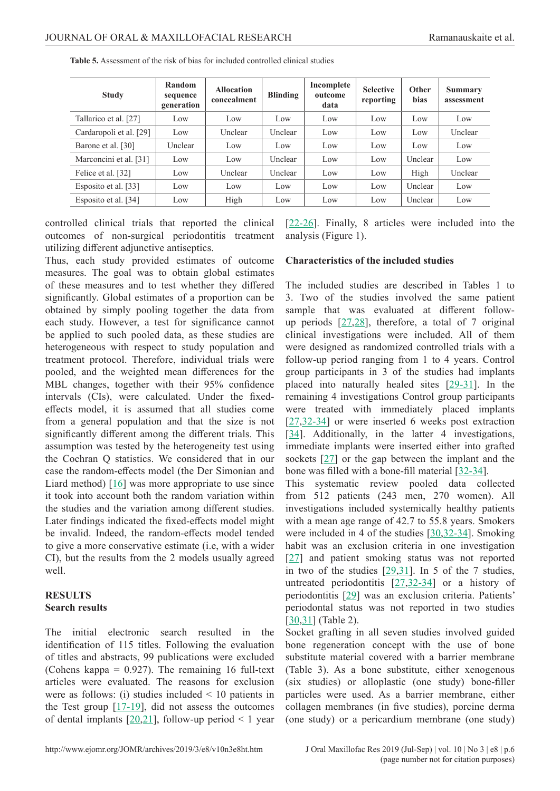| <b>Study</b>            | Random<br>sequence<br>generation | <b>Allocation</b><br>concealment | Blinding | Incomplete<br>outcome<br>data | <b>Selective</b><br>reporting | <b>Other</b><br>bias | <b>Summary</b><br>assessment |
|-------------------------|----------------------------------|----------------------------------|----------|-------------------------------|-------------------------------|----------------------|------------------------------|
| Tallarico et al. [27]   | Low                              | Low                              | Low      | Low                           | Low                           | Low                  | Low                          |
| Cardaropoli et al. [29] | Low                              | Unclear                          | Unclear  | Low                           | Low                           | Low                  | Unclear                      |
| Barone et al. [30]      | Unclear                          | Low                              | Low      | Low                           | Low                           | Low                  | Low                          |
| Marconcini et al. [31]  | Low                              | Low                              | Unclear  | Low                           | Low                           | Unclear              | Low                          |
| Felice et al. [32]      | Low                              | Unclear                          | Unclear  | Low                           | Low                           | High                 | Unclear                      |
| Esposito et al. [33]    | Low                              | Low                              | Low      | Low                           | Low                           | Unclear              | Low                          |
| Esposito et al. [34]    | Low                              | High                             | Low      | Low                           | Low                           | Unclear              | Low                          |

**Table 5.** Assessment of the risk of bias for included controlled clinical studies

controlled clinical trials that reported the clinical outcomes of non-surgical periodontitis treatment utilizing different adjunctive antiseptics.

Thus, each study provided estimates of outcome measures. The goal was to obtain global estimates of these measures and to test whether they differed significantly. Global estimates of a proportion can be obtained by simply pooling together the data from each study. However, a test for significance cannot be applied to such pooled data, as these studies are heterogeneous with respect to study population and treatment protocol. Therefore, individual trials were pooled, and the weighted mean differences for the MBL changes, together with their 95% confidence intervals (CIs), were calculated. Under the fixedeffects model, it is assumed that all studies come from a general population and that the size is not significantly different among the different trials. This assumption was tested by the heterogeneity test using the Cochran Q statistics. We considered that in our case the random-effects model (the Der Simonian and Liard method) [[16\]](#page-10-0) was more appropriate to use since it took into account both the random variation within the studies and the variation among different studies. Later findings indicated the fixed-effects model might be invalid. Indeed, the random-effects model tended to give a more conservative estimate (i.e, with a wider CI), but the results from the 2 models usually agreed well.

# **RESULTS Search results**

The initial electronic search resulted in the identification of 115 titles. Following the evaluation of titles and abstracts, 99 publications were excluded (Cohens kappa =  $0.927$ ). The remaining 16 full-text articles were evaluated. The reasons for exclusion were as follows: (i) studies included  $\leq 10$  patients in the Test group [[17-19\]](#page-10-0), did not assess the outcomes of dental implants  $[20,21]$  $[20,21]$  $[20,21]$  $[20,21]$ , follow-up period < 1 year [\[22-26](#page-10-0)]. Finally, 8 articles were included into the analysis (Figure 1).

#### **Characteristics of the included studies**

The included studies are described in Tables 1 to 3. Two of the studies involved the same patient sample that was evaluated at different followup periods  $[27,28]$  $[27,28]$  $[27,28]$  $[27,28]$ , therefore, a total of 7 original clinical investigations were included. All of them were designed as randomized controlled trials with a follow-up period ranging from 1 to 4 years. Control group participants in 3 of the studies had implants placed into naturally healed sites [[29-31\]](#page-11-0). In the remaining 4 investigations Control group participants were treated with immediately placed implants  $[27,32-34]$  $[27,32-34]$  or were inserted 6 weeks post extraction [\[34](#page-11-0)]. Additionally, in the latter 4 investigations, immediate implants were inserted either into grafted sockets [\[27\]](#page-11-0) or the gap between the implant and the bone was filled with a bone-fill material [[32-34\]](#page-11-0).

This systematic review pooled data collected from 512 patients (243 men, 270 women). All investigations included systemically healthy patients with a mean age range of 42.7 to 55.8 years. Smokers were included in 4 of the studies [[30,32-34\]](#page-11-0). Smoking habit was an exclusion criteria in one investigation [\[27](#page-11-0)] and patient smoking status was not reported in two of the studies [\[29,31](#page-11-0)]. In 5 of the 7 studies, untreated periodontitis  $[27,32-34]$  $[27,32-34]$  or a history of periodontitis [[29](#page-11-0)] was an exclusion criteria. Patients' periodontal status was not reported in two studies [\[30,31](#page-11-0)] (Table 2).

Socket grafting in all seven studies involved guided bone regeneration concept with the use of bone substitute material covered with a barrier membrane (Table 3). As a bone substitute, either xenogenous (six studies) or alloplastic (one study) bone-filler particles were used. As a barrier membrane, either collagen membranes (in five studies), porcine derma (one study) or a pericardium membrane (one study)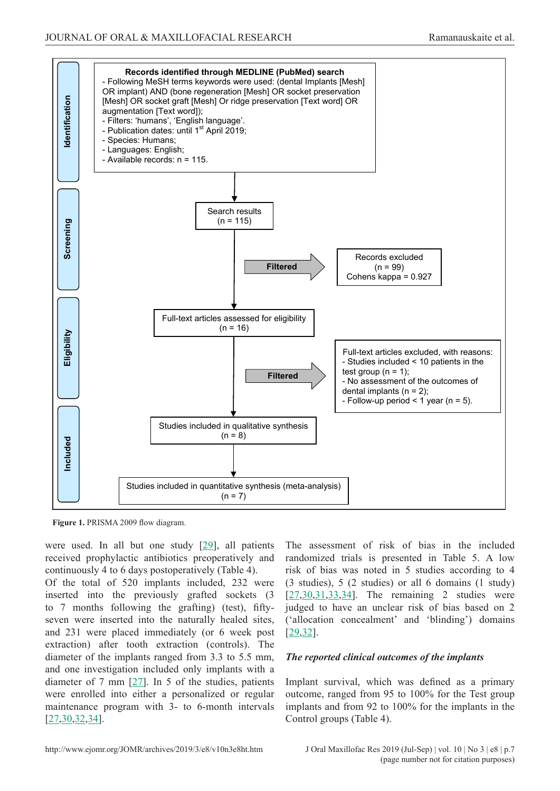

Figure 1. PRISMA 2009 flow diagram.

were used. In all but one study [[29\]](#page-11-0), all patients received prophylactic antibiotics preoperatively and continuously 4 to 6 days postoperatively (Table 4).

Of the total of 520 implants included, 232 were inserted into the previously grafted sockets (3 to 7 months following the grafting) (test), fiftyseven were inserted into the naturally healed sites, and 231 were placed immediately (or 6 week post extraction) after tooth extraction (controls). The diameter of the implants ranged from 3.3 to 5.5 mm, and one investigation included only implants with a diameter of 7 mm  $[27]$  $[27]$ . In 5 of the studies, patients were enrolled into either a personalized or regular maintenance program with 3- to 6-month intervals [[27,30,32,34\]](#page-11-0).

The assessment of risk of bias in the included randomized trials is presented in Table 5. A low risk of bias was noted in 5 studies according to 4 (3 studies), 5 (2 studies) or all 6 domains (1 study) [\[27,30,31,33](#page-11-0),[34](#page-11-0)]. The remaining 2 studies were judged to have an unclear risk of bias based on 2 ('allocation concealment' and 'blinding') domains [\[29,32](#page-11-0)].

#### *The reported clinical outcomes of the implants*

Implant survival, which was defined as a primary outcome, ranged from 95 to 100% for the Test group implants and from 92 to 100% for the implants in the Control groups (Table 4).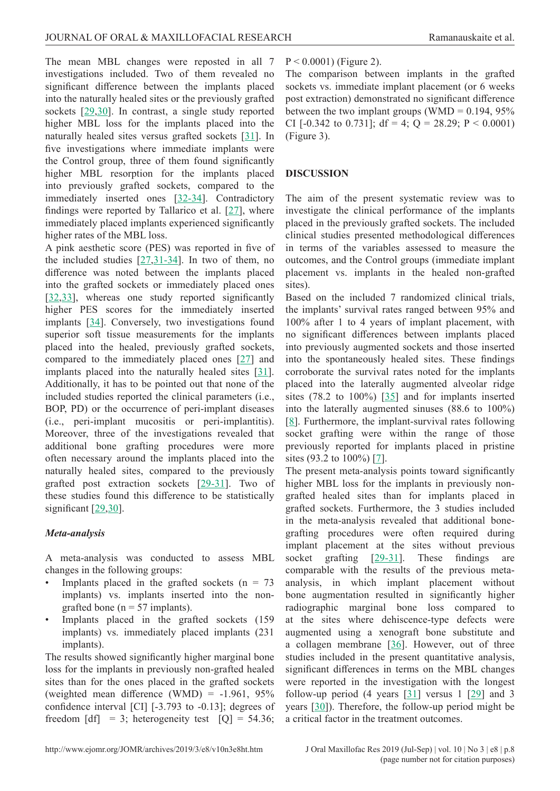The mean MBL changes were reposted in all 7 investigations included. Two of them revealed no significant difference between the implants placed into the naturally healed sites or the previously grafted sockets [[29,30\]](#page-11-0). In contrast, a single study reported higher MBL loss for the implants placed into the naturally healed sites versus grafted sockets [\[31](#page-11-0)]. In five investigations where immediate implants were the Control group, three of them found significantly higher MBL resorption for the implants placed into previously grafted sockets, compared to the immediately inserted ones [[32-34\]](#page-11-0). Contradictory findings were reported by Tallarico et al.  $[27]$  $[27]$  $[27]$ , where immediately placed implants experienced significantly higher rates of the MBL loss.

A pink aesthetic score (PES) was reported in five of the included studies  $[27,31-34]$  $[27,31-34]$ . In two of them, no difference was noted between the implants placed into the grafted sockets or immediately placed ones [[32,33\]](#page-11-0), whereas one study reported significantly higher PES scores for the immediately inserted implants  $[34]$ . Conversely, two investigations found superior soft tissue measurements for the implants placed into the healed, previously grafted sockets, compared to the immediately placed ones [\[27](#page-11-0)] and implants placed into the naturally healed sites [\[31](#page-11-0)]. Additionally, it has to be pointed out that none of the included studies reported the clinical parameters (i.e., BOP, PD) or the occurrence of peri-implant diseases (i.e., peri-implant mucositis or peri-implantitis). Moreover, three of the investigations revealed that additional bone grafting procedures were more often necessary around the implants placed into the naturally healed sites, compared to the previously grafted post extraction sockets [\[29-31](#page-11-0)]. Two of these studies found this difference to be statistically significant [[29](#page-11-0),[30\]](#page-11-0).

#### *Meta-analysis*

A meta-analysis was conducted to assess MBL changes in the following groups:

- Implants placed in the grafted sockets ( $n = 73$ ) implants) vs. implants inserted into the nongrafted bone ( $n = 57$  implants).
- Implants placed in the grafted sockets (159) implants) vs. immediately placed implants (231 implants).

The results showed significantly higher marginal bone loss for the implants in previously non-grafted healed sites than for the ones placed in the grafted sockets (weighted mean difference (WMD) =  $-1.961$ ,  $95\%$ confidence interval [CI] [-3.793 to -0.13]; degrees of freedom  $\text{[df]} = 3$ ; heterogeneity test  $\text{[Q]} = 54.36$ ;

 $P < 0.0001$ ) (Figure 2).

The comparison between implants in the grafted sockets vs. immediate implant placement (or 6 weeks post extraction) demonstrated no significant difference between the two implant groups (WMD =  $0.194$ ,  $95\%$ CI [-0.342 to 0.731];  $df = 4$ ;  $Q = 28.29$ ;  $P < 0.0001$ ) (Figure 3).

#### **DISCUSSION**

The aim of the present systematic review was to investigate the clinical performance of the implants placed in the previously grafted sockets. The included clinical studies presented methodological differences in terms of the variables assessed to measure the outcomes, and the Control groups (immediate implant placement vs. implants in the healed non-grafted sites).

Based on the included 7 randomized clinical trials, the implants' survival rates ranged between 95% and 100% after 1 to 4 years of implant placement, with no significant differences between implants placed into previously augmented sockets and those inserted into the spontaneously healed sites. These findings corroborate the survival rates noted for the implants placed into the laterally augmented alveolar ridge sites (78.2 to 100%) [\[35](#page-11-0)] and for implants inserted into the laterally augmented sinuses (88.6 to 100%) [\[8\]](#page-10-0). Furthermore, the implant-survival rates following socket grafting were within the range of those previously reported for implants placed in pristine sites (93.2 to 100%) [[7](#page-10-0)].

The present meta-analysis points toward significantly higher MBL loss for the implants in previously nongrafted healed sites than for implants placed in grafted sockets. Furthermore, the 3 studies included in the meta-analysis revealed that additional bonegrafting procedures were often required during implant placement at the sites without previous socket grafting  $[29-31]$  $[29-31]$ . These findings are comparable with the results of the previous metaanalysis, in which implant placement without bone augmentation resulted in significantly higher radiographic marginal bone loss compared to at the sites where dehiscence-type defects were augmented using a xenograft bone substitute and a collagen membrane  $[36]$  $[36]$ . However, out of three studies included in the present quantitative analysis, significant differences in terms on the MBL changes were reported in the investigation with the longest follow-up period (4 years [[31\]](#page-11-0) versus 1 [[29\]](#page-11-0) and 3 years [[30\]](#page-11-0)). Therefore, the follow-up period might be a critical factor in the treatment outcomes.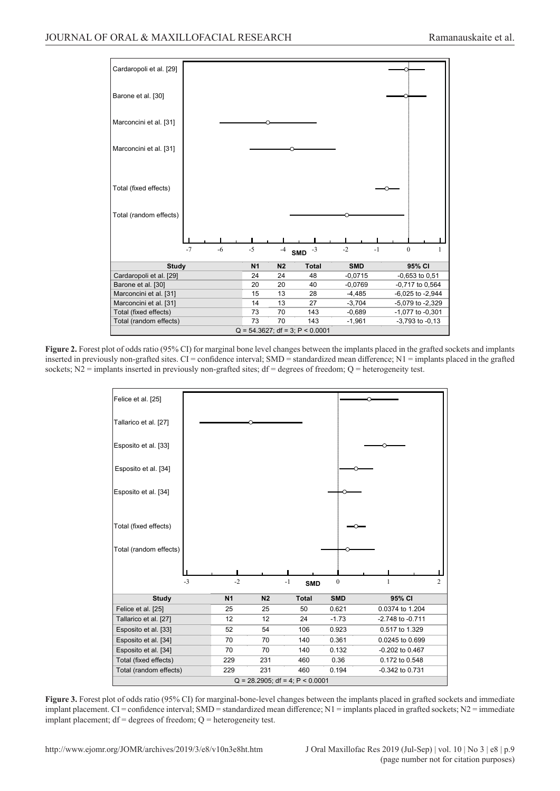

**Figure 2.** Forest plot of odds ratio (95% CI) for marginal bone level changes between the implants placed in the grafted sockets and implants inserted in previously non-grafted sites. CI = confidence interval; SMD = standardized mean difference; N1 = implants placed in the grafted sockets;  $N2$  = implants inserted in previously non-grafted sites; df = degrees of freedom; Q = heterogeneity test.



**Figure 3.** Forest plot of odds ratio (95% CI) for marginal-bone-level changes between the implants placed in grafted sockets and immediate implant placement. CI = confidence interval; SMD = standardized mean difference; N1 = implants placed in grafted sockets; N2 = immediate implant placement;  $df = degrees of freedom$ ;  $Q = heterogeneity test$ .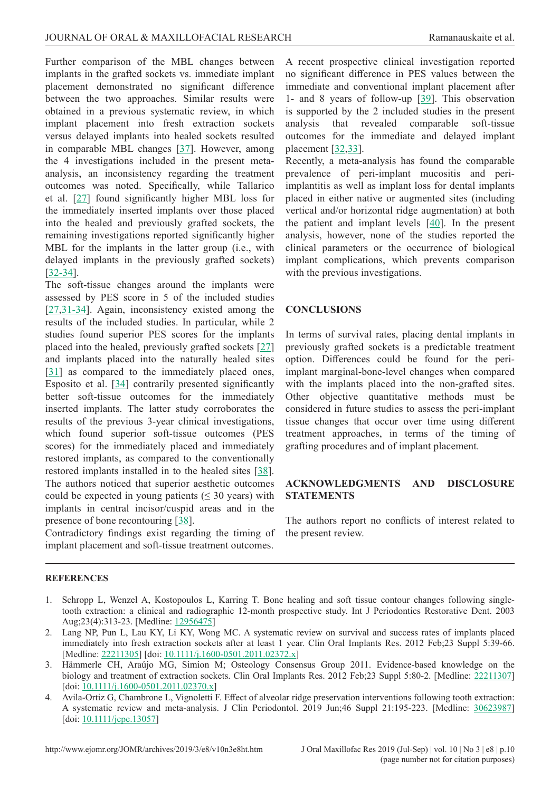<span id="page-9-0"></span>Further comparison of the MBL changes between implants in the grafted sockets vs. immediate implant placement demonstrated no significant difference between the two approaches. Similar results were obtained in a previous systematic review, in which implant placement into fresh extraction sockets versus delayed implants into healed sockets resulted in comparable MBL changes [\[37](#page-11-0)]. However, among the 4 investigations included in the present metaanalysis, an inconsistency regarding the treatment outcomes was noted. Specifically, while Tallarico et al. [\[27](#page-11-0)] found significantly higher MBL loss for the immediately inserted implants over those placed into the healed and previously grafted sockets, the remaining investigations reported significantly higher MBL for the implants in the latter group (i.e., with delayed implants in the previously grafted sockets) [[32-34\]](#page-11-0).

The soft-tissue changes around the implants were assessed by PES score in 5 of the included studies  $[27,31-34]$  $[27,31-34]$ . Again, inconsistency existed among the results of the included studies. In particular, while 2 studies found superior PES scores for the implants placed into the healed, previously grafted sockets [[27\]](#page-11-0) and implants placed into the naturally healed sites [[31\]](#page-11-0) as compared to the immediately placed ones, Esposito et al. [\[34\]](#page-11-0) contrarily presented significantly better soft-tissue outcomes for the immediately inserted implants. The latter study corroborates the results of the previous 3-year clinical investigations, which found superior soft-tissue outcomes (PES scores) for the immediately placed and immediately restored implants, as compared to the conventionally restored implants installed in to the healed sites [\[38](#page-11-0)]. The authors noticed that superior aesthetic outcomes could be expected in young patients ( $\leq$  30 years) with implants in central incisor/cuspid areas and in the presence of bone recontouring [[38\]](#page-11-0).

Contradictory findings exist regarding the timing of implant placement and soft-tissue treatment outcomes.

A recent prospective clinical investigation reported no significant difference in PES values between the immediate and conventional implant placement after 1- and 8 years of follow-up [\[39](#page-11-0)]. This observation is supported by the 2 included studies in the present analysis that revealed comparable soft-tissue outcomes for the immediate and delayed implant placement  $[32,33]$  $[32,33]$ .

Recently, a meta-analysis has found the comparable prevalence of peri-implant mucositis and periimplantitis as well as implant loss for dental implants placed in either native or augmented sites (including vertical and/or horizontal ridge augmentation) at both the patient and implant levels [[40](#page-11-0)]. In the present analysis, however, none of the studies reported the clinical parameters or the occurrence of biological implant complications, which prevents comparison with the previous investigations.

#### **CONCLUSIONS**

In terms of survival rates, placing dental implants in previously grafted sockets is a predictable treatment option. Differences could be found for the periimplant marginal-bone-level changes when compared with the implants placed into the non-grafted sites. Other objective quantitative methods must be considered in future studies to assess the peri-implant tissue changes that occur over time using different treatment approaches, in terms of the timing of grafting procedures and of implant placement.

# **ACKNOWLEDGMENTS AND DISCLOSURE STATEMENTS**

The authors report no conflicts of interest related to the present review.

#### **REFERENCES**

- 1. Schropp L, Wenzel A, Kostopoulos L, Karring T. Bone healing and soft tissue contour changes following singletooth extraction: a clinical and radiographic 12-month prospective study. Int J Periodontics Restorative Dent. 2003 Aug;23(4):313-23. [Medline: [12956475\]](http://www.ncbi.nlm.nih.gov/pubmed/12956475)
- 2. Lang NP, Pun L, Lau KY, Li KY, Wong MC. A systematic review on survival and success rates of implants placed immediately into fresh extraction sockets after at least 1 year. Clin Oral Implants Res. 2012 Feb;23 Suppl 5:39-66. [Medline: [22211305\]](http://www.ncbi.nlm.nih.gov/pubmed/22211305) [doi: [10.1111/j.1600-0501.2011.02372.x\]](https://doi.org/10.1111/j.1600-0501.2011.02372.x)
- 3. Hämmerle CH, Araújo MG, Simion M; Osteology Consensus Group 2011. Evidence-based knowledge on the biology and treatment of extraction sockets. Clin Oral Implants Res. 2012 Feb;23 Suppl 5:80-2. [Medline: [22211307\]](http://www.ncbi.nlm.nih.gov/pubmed/22211307) [doi: [10.1111/j.1600-0501.2011.02370.x](https://doi.org/10.1111/j.1600-0501.2011.02370.x)]
- 4. Avila-Ortiz G, Chambrone L, Vignoletti F. Effect of alveolar ridge preservation interventions following tooth extraction: A systematic review and meta-analysis. J Clin Periodontol. 2019 Jun;46 Suppl 21:195-223. [Medline: [30623987\]](http://www.ncbi.nlm.nih.gov/pubmed/30623987)  $\left[$ doi:  $\frac{10.1111}{\left| \text{cpe}.13057 \right|}$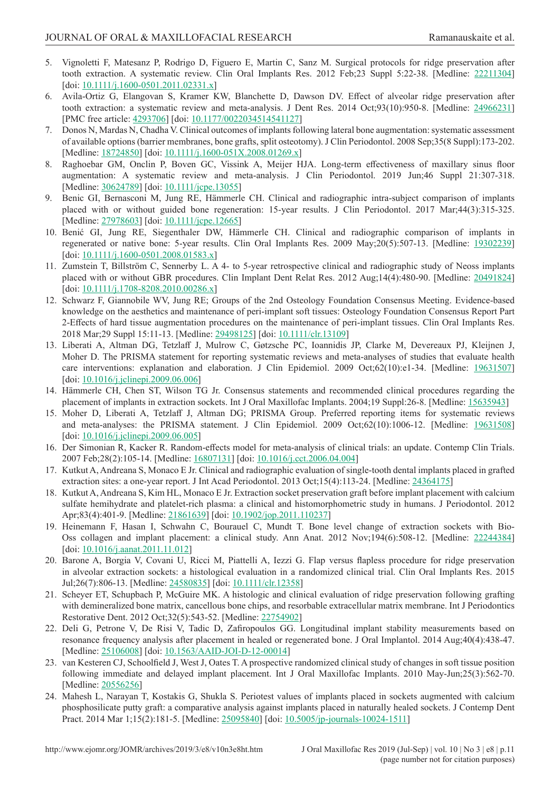- <span id="page-10-0"></span>5. Vignoletti F, Matesanz P, Rodrigo D, Figuero E, Martin C, Sanz M. Surgical protocols for ridge preservation after tooth extraction. A systematic review. Clin Oral Implants Res. 2012 Feb;23 Suppl 5:22-38. [Medline: [22211304\]](http://www.ncbi.nlm.nih.gov/pubmed/22211304) [doi: [10.1111/j.1600-0501.2011.02331.x](https://doi.org/10.1111/j.1600-0501.2011.02331.x)]
- 6. Avila-Ortiz G, Elangovan S, Kramer KW, Blanchette D, Dawson DV. Effect of alveolar ridge preservation after tooth extraction: a systematic review and meta-analysis. J Dent Res. 2014 Oct;93(10):950-8. [Medline: [24966231\]](http://www.ncbi.nlm.nih.gov/pubmed/24966231) [PMC free article: [4293706](http://www.ncbi.nlm.nih.gov/pmc/articles/PMC4293706)] [doi: [10.1177/0022034514541127](https://doi.org/10.1177/0022034514541127)]
- 7. Donos N, Mardas N, Chadha V. Clinical outcomes of implants following lateral bone augmentation: systematic assessment of available options (barrier membranes, bone grafts, split osteotomy). J Clin Periodontol. 2008 Sep;35(8 Suppl):173-202. [Medline: [18724850\]](http://www.ncbi.nlm.nih.gov/pubmed/18724850) [doi: [10.1111/j.1600-051X.2008.01269.x\]](https://doi.org/10.1111/j.1600-051X.2008.01269.x)
- 8. Raghoebar GM, Onclin P, Boven GC, Vissink A, Meijer HJA. Long-term effectiveness of maxillary sinus floor augmentation: A systematic review and meta-analysis. J Clin Periodontol. 2019 Jun;46 Suppl 21:307-318. [Medline: [30624789\]](http://www.ncbi.nlm.nih.gov/pubmed/30624789) [doi: [10.1111/jcpe.13055](https://doi.org/10.1111/jcpe.13055)]
- 9. Benic GI, Bernasconi M, Jung RE, Hämmerle CH. Clinical and radiographic intra-subject comparison of implants placed with or without guided bone regeneration: 15-year results. J Clin Periodontol. 2017 Mar;44(3):315-325. [Medline: [27978603\]](http://www.ncbi.nlm.nih.gov/pubmed/27978603) [doi: [10.1111/jcpe.12665](https://doi.org/10.1111/jcpe.12665)]
- 10. Benić GI, Jung RE, Siegenthaler DW, Hämmerle CH. Clinical and radiographic comparison of implants in regenerated or native bone: 5-year results. Clin Oral Implants Res. 2009 May;20(5):507-13. [Medline: [19302239\]](http://www.ncbi.nlm.nih.gov/pubmed/19302239) [doi: [10.1111/j.1600-0501.2008.01583.x\]](https://doi.org/10.1111/j.1600-0501.2008.01583.x)
- 11. Zumstein T, Billström C, Sennerby L. A 4- to 5-year retrospective clinical and radiographic study of Neoss implants placed with or without GBR procedures. Clin Implant Dent Relat Res. 2012 Aug;14(4):480-90. [Medline: [20491824\]](http://www.ncbi.nlm.nih.gov/pubmed/20491824) [doi: [10.1111/j.1708-8208.2010.00286.x\]](https://doi.org/10.1111/j.1708-8208.2010.00286.x)
- 12. Schwarz F, Giannobile WV, Jung RE; Groups of the 2nd Osteology Foundation Consensus Meeting. Evidence-based knowledge on the aesthetics and maintenance of peri-implant soft tissues: Osteology Foundation Consensus Report Part 2-Effects of hard tissue augmentation procedures on the maintenance of peri-implant tissues. Clin Oral Implants Res. 2018 Mar;29 Suppl 15:11-13. [Medline: [29498125\]](http://www.ncbi.nlm.nih.gov/pubmed/29498125) [doi: [10.1111/clr.13109\]](https://doi.org/10.1111/clr.13109)
- 13. Liberati A, Altman DG, Tetzlaff J, Mulrow C, Gøtzsche PC, Ioannidis JP, Clarke M, Devereaux PJ, Kleijnen J, Moher D. The PRISMA statement for reporting systematic reviews and meta-analyses of studies that evaluate health care interventions: explanation and elaboration. J Clin Epidemiol. 2009 Oct;62(10):e1-34. [Medline: [19631507\]](http://www.ncbi.nlm.nih.gov/pubmed/19631507) [doi: [10.1016/j.jclinepi.2009.06.006](https://doi.org/10.1016/j.jclinepi.2009.06.006)]
- 14. Hämmerle CH, Chen ST, Wilson TG Jr. Consensus statements and recommended clinical procedures regarding the placement of implants in extraction sockets. Int J Oral Maxillofac Implants. 2004;19 Suppl:26-8. [Medline: [15635943\]](http://www.ncbi.nlm.nih.gov/pubmed/15635943)
- 15. Moher D, Liberati A, Tetzlaff J, Altman DG; PRISMA Group. Preferred reporting items for systematic reviews and meta-analyses: the PRISMA statement. J Clin Epidemiol. 2009 Oct;62(10):1006-12. [Medline: [19631508\]](http://www.ncbi.nlm.nih.gov/pubmed/19631508) [doi: 10.1016/*j.jclinepi.2009.06.005*]
- 16. Der Simonian R, Kacker R. Random-effects model for meta-analysis of clinical trials: an update. Contemp Clin Trials. 2007 Feb;28(2):105-14. [Medline: [16807131\]](http://www.ncbi.nlm.nih.gov/pubmed/16807131) [doi: [10.1016/j.cct.2006.04.004\]](https://doi.org/10.1016/j.cct.2006.04.004)
- 17. Kutkut A, Andreana S, Monaco E Jr. Clinical and radiographic evaluation of single-tooth dental implants placed in grafted extraction sites: a one-year report. J Int Acad Periodontol. 2013 Oct;15(4):113-24. [Medline: [24364175\]](http://www.ncbi.nlm.nih.gov/pubmed/24364175)
- 18. Kutkut A, Andreana S, Kim HL, Monaco E Jr. Extraction socket preservation graft before implant placement with calcium sulfate hemihydrate and platelet-rich plasma: a clinical and histomorphometric study in humans. J Periodontol. 2012 Apr;83(4):401-9. [Medline: [21861639](http://www.ncbi.nlm.nih.gov/pubmed/21861639)] [doi: [10.1902/jop.2011.110237\]](https://doi.org/10.1902/jop.2011.110237)
- 19. Heinemann F, Hasan I, Schwahn C, Bourauel C, Mundt T. Bone level change of extraction sockets with Bio-Oss collagen and implant placement: a clinical study. Ann Anat. 2012 Nov;194(6):508-12. [Medline: [22244384\]](http://www.ncbi.nlm.nih.gov/pubmed/22244384) [doi: [10.1016/j.aanat.2011.11.012\]](https://doi.org/10.1016/j.aanat.2011.11.012)
- 20. Barone A, Borgia V, Covani U, Ricci M, Piattelli A, Iezzi G. Flap versus flapless procedure for ridge preservation in alveolar extraction sockets: a histological evaluation in a randomized clinical trial. Clin Oral Implants Res. 2015 Jul;26(7):806-13. [Medline: [24580835](http://www.ncbi.nlm.nih.gov/pubmed/24580835)] [doi: [10.1111/clr.12358](https://doi.org/10.1111/clr.12358)]
- 21. Scheyer ET, Schupbach P, McGuire MK. A histologic and clinical evaluation of ridge preservation following grafting with demineralized bone matrix, cancellous bone chips, and resorbable extracellular matrix membrane. Int J Periodontics Restorative Dent. 2012 Oct;32(5):543-52. [Medline: [22754902\]](http://www.ncbi.nlm.nih.gov/pubmed/22754902)
- 22. Deli G, Petrone V, De Risi V, Tadic D, Zafiropoulos GG. Longitudinal implant stability measurements based on resonance frequency analysis after placement in healed or regenerated bone. J Oral Implantol. 2014 Aug;40(4):438-47. [Medline: [25106008\]](http://www.ncbi.nlm.nih.gov/pubmed/25106008) [doi: [10.1563/AAID-JOI-D-12-00014](https://doi.org/10.1563/AAID-JOI-D-12-00014)]
- 23. van Kesteren CJ, Schoolfield J, West J, Oates T. A prospective randomized clinical study of changes in soft tissue position following immediate and delayed implant placement. Int J Oral Maxillofac Implants. 2010 May-Jun;25(3):562-70. [Medline: [20556256\]](http://www.ncbi.nlm.nih.gov/pubmed/20556256)
- 24. Mahesh L, Narayan T, Kostakis G, Shukla S. Periotest values of implants placed in sockets augmented with calcium phosphosilicate putty graft: a comparative analysis against implants placed in naturally healed sockets. J Contemp Dent Pract. 2014 Mar 1;15(2):181-5. [Medline: [25095840\]](http://www.ncbi.nlm.nih.gov/pubmed/25095840) [doi: [10.5005/jp-journals-10024-1511\]](https://doi.org/10.5005/jp-journals-10024-1511)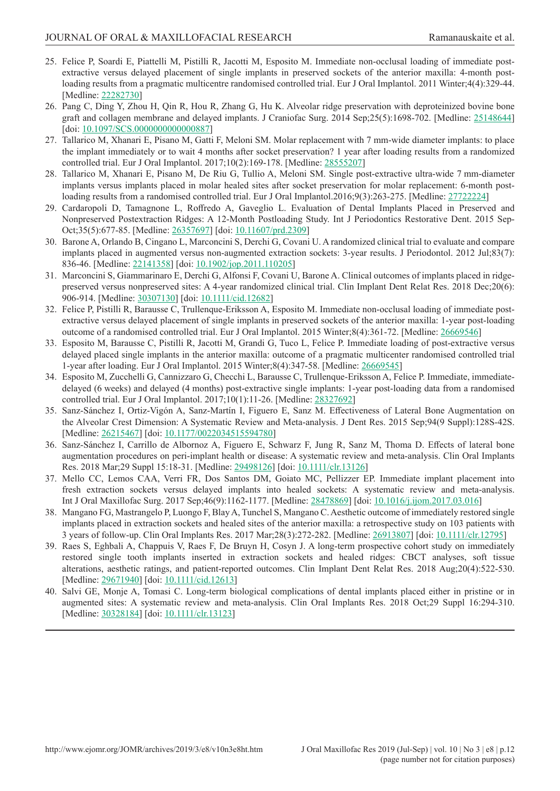- <span id="page-11-0"></span>25. Felice P, Soardi E, Piattelli M, Pistilli R, Jacotti M, Esposito M. Immediate non-occlusal loading of immediate postextractive versus delayed placement of single implants in preserved sockets of the anterior maxilla: 4-month postloading results from a pragmatic multicentre randomised controlled trial. Eur J Oral Implantol. 2011 Winter;4(4):329-44. [Medline: [22282730\]](http://www.ncbi.nlm.nih.gov/pubmed/22282730)
- 26. Pang C, Ding Y, Zhou H, Qin R, Hou R, Zhang G, Hu K. Alveolar ridge preservation with deproteinized bovine bone graft and collagen membrane and delayed implants. J Craniofac Surg. 2014 Sep;25(5):1698-702. [Medline: [25148644\]](http://www.ncbi.nlm.nih.gov/pubmed/25148644) [doi: [10.1097/SCS.0000000000000887\]](https://doi.org/10.1097/SCS.0000000000000887)
- 27. Tallarico M, Xhanari E, Pisano M, Gatti F, Meloni SM. Molar replacement with 7 mm-wide diameter implants: to place the implant immediately or to wait 4 months after socket preservation? 1 year after loading results from a randomized controlled trial. Eur J Oral Implantol. 2017;10(2):169-178. [Medline: 28555207]
- 28. Tallarico M, Xhanari E, Pisano M, De Riu G, Tullio A, Meloni SM. Single post-extractive ultra-wide 7 mm-diameter implants versus implants placed in molar healed sites after socket preservation for molar replacement: 6-month post-loading results from a randomised controlled trial. Eur J Oral Implantol.2016;9(3):263-275. [Medline: [27722224\]](http://www.ncbi.nlm.nih.gov/pubmed/27722224)
- 29. Cardaropoli D, Tamagnone L, Roffredo A, Gaveglio L. Evaluation of Dental Implants Placed in Preserved and Nonpreserved Postextraction Ridges: A 12-Month Postloading Study. Int J Periodontics Restorative Dent. 2015 Sep-Oct;35(5):677-85. [Medline: [26357697\]](http://www.ncbi.nlm.nih.gov/pubmed/26357697) [doi: [10.11607/prd.2309\]](https://doi.org/10.11607/prd.2309)
- 30. Barone A, Orlando B, Cingano L, Marconcini S, Derchi G, Covani U. A randomized clinical trial to evaluate and compare implants placed in augmented versus non-augmented extraction sockets: 3-year results. J Periodontol. 2012 Jul;83(7): 836-46. [Medline: [22141358](http://www.ncbi.nlm.nih.gov/pubmed/22141358)] [doi: [10.1902/jop.2011.110205\]](https://doi.org/10.1902/jop.2011.110205)
- 31. Marconcini S, Giammarinaro E, Derchi G, Alfonsi F, Covani U, Barone A. Clinical outcomes of implants placed in ridgepreserved versus nonpreserved sites: A 4-year randomized clinical trial. Clin Implant Dent Relat Res. 2018 Dec;20(6): 906-914. [Medline: [30307130](https://www.ncbi.nlm.nih.gov/pubmed/30307130)] [doi: [10.1111/cid.12682](https://doi.org/10.1111/cid.12682)]
- 32. Felice P, Pistilli R, Barausse C, Trullenque-Eriksson A, Esposito M. Immediate non-occlusal loading of immediate postextractive versus delayed placement of single implants in preserved sockets of the anterior maxilla: 1-year post-loading outcome of a randomised controlled trial. Eur J Oral Implantol. 2015 Winter;8(4):361-72. [Medline: [26669546\]](https://www.ncbi.nlm.nih.gov/pubmed/26669546)
- 33. Esposito M, Barausse C, Pistilli R, Jacotti M, Grandi G, Tuco L, Felice P. Immediate loading of post-extractive versus delayed placed single implants in the anterior maxilla: outcome of a pragmatic multicenter randomised controlled trial 1-year after loading. Eur J Oral Implantol. 2015 Winter;8(4):347-58. [Medline: [26669545](https://www.ncbi.nlm.nih.gov/pubmed/26669545)]
- 34. Esposito M, Zucchelli G, Cannizzaro G, Checchi L, Barausse C, Trullenque-Eriksson A, Felice P. Immediate, immediatedelayed (6 weeks) and delayed (4 months) post-extractive single implants: 1-year post-loading data from a randomised controlled trial. Eur J Oral Implantol. 2017;10(1):11-26. [Medline: [28327692\]](https://www.ncbi.nlm.nih.gov/pubmed/28327692)
- 35. Sanz-Sánchez I, Ortiz-Vigón A, Sanz-Martín I, Figuero E, Sanz M. Effectiveness of Lateral Bone Augmentation on the Alveolar Crest Dimension: A Systematic Review and Meta-analysis. J Dent Res. 2015 Sep;94(9 Suppl):128S-42S. [Medline: [26215467\]](http://www.ncbi.nlm.nih.gov/pubmed/26215467) [doi: [10.1177/0022034515594780](https://doi.org/10.1177/0022034515594780)]
- 36. Sanz-Sánchez I, Carrillo de Albornoz A, Figuero E, Schwarz F, Jung R, Sanz M, Thoma D. Effects of lateral bone augmentation procedures on peri-implant health or disease: A systematic review and meta-analysis. Clin Oral Implants Res. 2018 Mar;29 Suppl 15:18-31. [Medline: [29498126](http://www.ncbi.nlm.nih.gov/pubmed/29498126)] [doi: [10.1111/clr.13126](https://doi.org/10.1111/clr.13126)]
- 37. Mello CC, Lemos CAA, Verri FR, Dos Santos DM, Goiato MC, Pellizzer EP. Immediate implant placement into fresh extraction sockets versus delayed implants into healed sockets: A systematic review and meta-analysis. Int J Oral Maxillofac Surg. 2017 Sep;46(9):1162-1177. [Medline: [28478869\]](http://www.ncbi.nlm.nih.gov/pubmed/28478869) [doi: [10.1016/j.ijom.2017.03.016](https://doi.org/10.1016/j.ijom.2017.03.016)]
- 38. Mangano FG, Mastrangelo P, Luongo F, Blay A, Tunchel S, Mangano C. Aesthetic outcome of immediately restored single implants placed in extraction sockets and healed sites of the anterior maxilla: a retrospective study on 103 patients with 3 years of follow-up. Clin Oral Implants Res. 2017 Mar;28(3):272-282. [Medline: [26913807](http://www.ncbi.nlm.nih.gov/pubmed/26913807)] [doi: [10.1111/clr.12795](https://doi.org/10.1111/clr.12795)]
- 39. Raes S, Eghbali A, Chappuis V, Raes F, De Bruyn H, Cosyn J. A long-term prospective cohort study on immediately restored single tooth implants inserted in extraction sockets and healed ridges: CBCT analyses, soft tissue alterations, aesthetic ratings, and patient-reported outcomes. Clin Implant Dent Relat Res. 2018 Aug;20(4):522-530. [Medline: [29671940\]](http://www.ncbi.nlm.nih.gov/pubmed/29671940) [doi: [10.1111/cid.12613](https://doi.org/10.1111/cid.12613)]
- 40. Salvi GE, Monje A, Tomasi C. Long-term biological complications of dental implants placed either in pristine or in augmented sites: A systematic review and meta-analysis. Clin Oral Implants Res. 2018 Oct;29 Suppl 16:294-310. [Medline: [30328184\]](http://www.ncbi.nlm.nih.gov/pubmed/30328184) [doi: [10.1111/clr.13123\]](https://doi.org/10.1111/clr.13123)